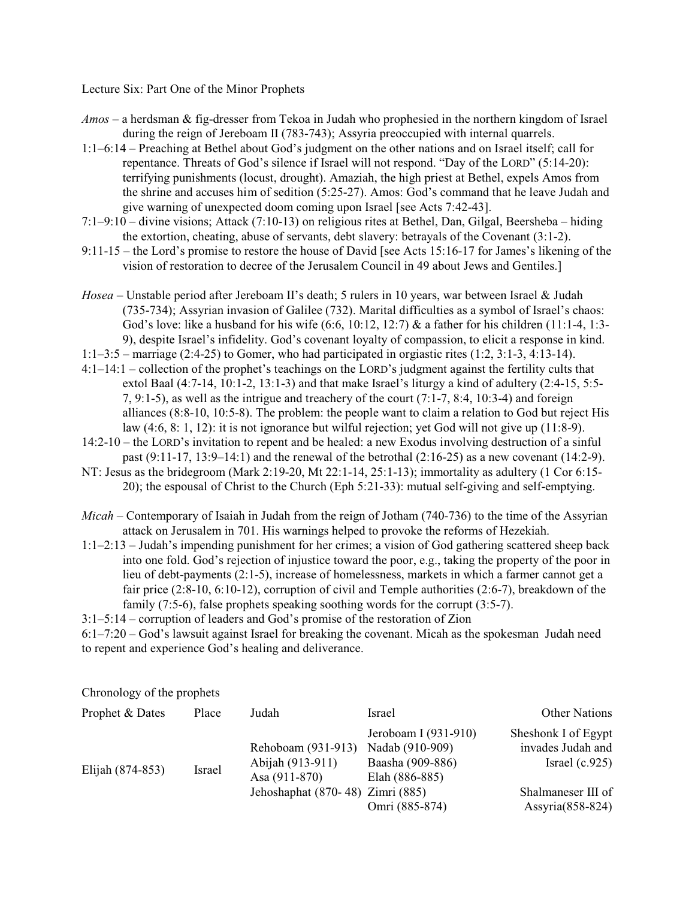Lecture Six: Part One of the Minor Prophets

- *Amos*  a herdsman & fig-dresser from Tekoa in Judah who prophesied in the northern kingdom of Israel during the reign of Jereboam II (783-743); Assyria preoccupied with internal quarrels.
- 1:1–6:14 Preaching at Bethel about God's judgment on the other nations and on Israel itself; call for repentance. Threats of God's silence if Israel will not respond. "Day of the LORD" (5:14-20): terrifying punishments (locust, drought). Amaziah, the high priest at Bethel, expels Amos from the shrine and accuses him of sedition (5:25-27). Amos: God's command that he leave Judah and give warning of unexpected doom coming upon Israel [see Acts 7:42-43].
- 7:1–9:10 divine visions; Attack (7:10-13) on religious rites at Bethel, Dan, Gilgal, Beersheba hiding the extortion, cheating, abuse of servants, debt slavery: betrayals of the Covenant (3:1-2).
- 9:11-15 the Lord's promise to restore the house of David [see Acts 15:16-17 for James's likening of the vision of restoration to decree of the Jerusalem Council in 49 about Jews and Gentiles.]
- *Hosea*  Unstable period after Jereboam II's death; 5 rulers in 10 years, war between Israel & Judah (735-734); Assyrian invasion of Galilee (732). Marital difficulties as a symbol of Israel's chaos: God's love: like a husband for his wife (6:6, 10:12, 12:7) & a father for his children (11:1-4, 1:3- 9), despite Israel's infidelity. God's covenant loyalty of compassion, to elicit a response in kind.
- 1:1–3:5 marriage (2:4-25) to Gomer, who had participated in orgiastic rites (1:2, 3:1-3, 4:13-14).
- 4:1–14:1 collection of the prophet's teachings on the LORD's judgment against the fertility cults that extol Baal  $(4:7-14, 10:1-2, 13:1-3)$  and that make Israel's liturgy a kind of adultery  $(2:4-15, 5:5-1)$ 7, 9:1-5), as well as the intrigue and treachery of the court (7:1-7, 8:4, 10:3-4) and foreign alliances (8:8-10, 10:5-8). The problem: the people want to claim a relation to God but reject His law (4:6, 8: 1, 12): it is not ignorance but wilful rejection; yet God will not give up (11:8-9).
- 14:2-10 the LORD's invitation to repent and be healed: a new Exodus involving destruction of a sinful past  $(9:11-17, 13:9-14:1)$  and the renewal of the betrothal  $(2:16-25)$  as a new covenant  $(14:2-9)$ .
- NT: Jesus as the bridegroom (Mark 2:19-20, Mt 22:1-14, 25:1-13); immortality as adultery (1 Cor 6:15- 20); the espousal of Christ to the Church (Eph 5:21-33): mutual self-giving and self-emptying.
- *Micah*  Contemporary of Isaiah in Judah from the reign of Jotham (740-736) to the time of the Assyrian attack on Jerusalem in 701. His warnings helped to provoke the reforms of Hezekiah.
- 1:1–2:13 Judah's impending punishment for her crimes; a vision of God gathering scattered sheep back into one fold. God's rejection of injustice toward the poor, e.g., taking the property of the poor in lieu of debt-payments (2:1-5), increase of homelessness, markets in which a farmer cannot get a fair price (2:8-10, 6:10-12), corruption of civil and Temple authorities (2:6-7), breakdown of the family (7:5-6), false prophets speaking soothing words for the corrupt (3:5-7).
- 3:1–5:14 corruption of leaders and God's promise of the restoration of Zion
- 6:1–7:20 God's lawsuit against Israel for breaking the covenant. Micah as the spokesman Judah need to repent and experience God's healing and deliverance.

Chronology of the prophets

| Prophet & Dates  | Place  | Judah                                                   | Israel                                                                        | Other Nations                                                |
|------------------|--------|---------------------------------------------------------|-------------------------------------------------------------------------------|--------------------------------------------------------------|
| Elijah (874-853) | Israel | Rehoboam (931-913)<br>Abijah (913-911)<br>Asa (911-870) | Jeroboam I (931-910)<br>Nadab (910-909)<br>Baasha (909-886)<br>Elah (886-885) | Sheshonk I of Egypt<br>invades Judah and<br>Israel $(c.925)$ |
|                  |        | Jehoshaphat (870-48) Zimri (885)                        |                                                                               | Shalmaneser III of                                           |
|                  |        |                                                         | Omri (885-874)                                                                | Assyria(858-824)                                             |